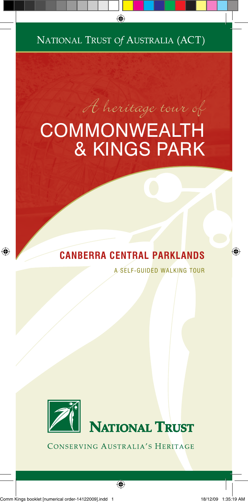NATIONAL TRUST Of AUSTRALIA (ACT)

# $\theta$   $\theta$  heritage tour of COMMONWEALTH & KINGS PARK

## **CANBERRA CENTRAL PARKLANDS**

A SELF-GUIDED WALKING TOUR



CONSERVING AUSTRALIA'S HERITAGE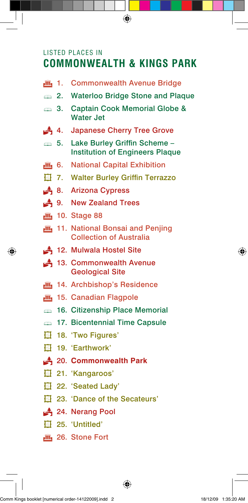## LISTED PLACES IN **COMMONWEALTH & KINGS PARK**

**July 1. Commonwealth Avenue Bridge 2. Waterloo Bridge Stone and Plaque 3. Captain Cook Memorial Globe &**  Water Jet 4. Japanese Cherry Tree Grove  $\Rightarrow$  **5. Lake Burley Griffin Scheme –**  Institution of Engineers Plaque **July 6.** National Capital Exhibition **在 7. Walter Burley Griffin Terrazzo** 8. Arizona Cypress 4 9. New Zealand Trees fig. 10. Stage 88 **July 11. National Bonsai and Penjing**  Collection of Australia 12. Mulwala Hostel Site 4 13. Commonwealth Avenue Geological Site **July** 14. Archbishop's Residence fig. 15. Canadian Flagpole **16. Citizenship Place Memorial Example 17. Bicentennial Time Capsule** ¢ 18. 'Two Figures' ¢ 19. 'Earthwork' P 20. **Commonwealth Park** ¢ 21. 'Kangaroos' H 22. 'Seated Lady' ¢ 23. 'Dance of the Secateurs' 24. Nerang Pool ¢ 25. 'Untitled' **E** 26. Stone Fort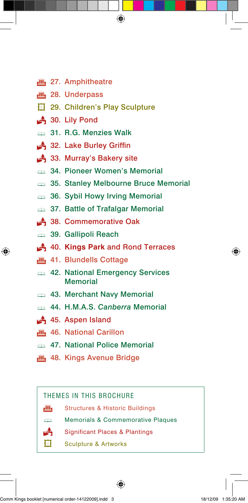- **ff** 27. Amphitheatre
- $m$  28. Underpass
- **在 29. Children's Play Sculpture**
- $\triangle$  30. Lily Pond
- **31. R.G. Menzies Walk**
- 32. Lake Burley Griffin
- 33. Murray's Bakery site
- **34. Pioneer Women's Memorial**
- **35. Stanley Melbourne Bruce Memorial**
- **36. Sybil Howy Irving Memorial**
- **37. Battle of Trafalgar Memorial**
- 4 38. Commemorative Oak
- **39. Gallipoli Reach**
- P 40. **Kings Park** and Rond Terraces
- $m_1$  41. Blundells Cottage
- 42. National Emergency Services Memorial
- 43. Merchant Navy Memorial
- ß 44. H.M.A.S. *Canberra* Memorial
- $\triangle$  45. Aspen Island
- **July** 46. National Carillon
- **47. National Police Memorial**
- **July 48. Kings Avenue Bridge**

### THEMES IN THIS BROCHURE

- $\widehat{\mathbf{m}}$  Structures & Historic Buildings
- **ERRY Memorials & Commemorative Plaques** 
	- **Significant Places & Plantings**
- $\mathbf{\overline{d}}$  Sculpture & Artworks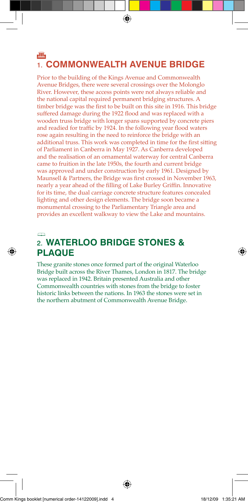### **JIII.** 1. **COMMONWEALTH AVENUE BRIDGE**

Prior to the building of the Kings Avenue and Commonwealth Avenue Bridges, there were several crossings over the Molonglo River. However, these access points were not always reliable and the national capital required permanent bridging structures. A timber bridge was the first to be built on this site in 1916. This bridge suffered damage during the 1922 flood and was replaced with a wooden truss bridge with longer spans supported by concrete piers and readied for traffic by 1924. In the following year flood waters rose again resulting in the need to reinforce the bridge with an additional truss. This work was completed in time for the first sitting of Parliament in Canberra in May 1927. As Canberra developed and the realisation of an ornamental waterway for central Canberra came to fruition in the late 1950s, the fourth and current bridge was approved and under construction by early 1961. Designed by Maunsell & Partners, the Bridge was first crossed in November 1963, nearly a year ahead of the filling of Lake Burley Griffin. Innovative for its time, the dual carriage concrete structure features concealed lighting and other design elements. The bridge soon became a monumental crossing to the Parliamentary Triangle area and provides an excellent walkway to view the Lake and mountains.

#### ß

### 2. **WATERLOO BRIDGE STONES & PLAQUE**

These granite stones once formed part of the original Waterloo Bridge built across the River Thames, London in 1817. The bridge was replaced in 1942. Britain presented Australia and other Commonwealth countries with stones from the bridge to foster historic links between the nations. In 1963 the stones were set in the northern abutment of Commonwealth Avenue Bridge.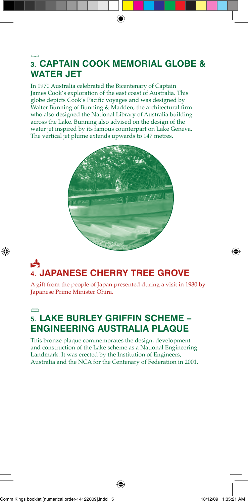### ß 3. **CAPTAIN COOK MEMORIAL GLOBE & WATER JET**

In 1970 Australia celebrated the Bicentenary of Captain James Cook's exploration of the east coast of Australia. This globe depicts Cook's Pacific voyages and was designed by Walter Bunning of Bunning & Madden, the architectural firm who also designed the National Library of Australia building across the Lake. Bunning also advised on the design of the water jet inspired by its famous counterpart on Lake Geneva. The vertical jet plume extends upwards to 147 metres.



## å 4. **JAPANESE CHERRY TREE GROVE**

A gift from the people of Japan presented during a visit in 1980 by Japanese Prime Minister Ohira.

#### ß

## 5. **LAKE BURLEY GRIFFIN SCHEME – ENGINEERING AUSTRALIA PLAQUE**

This bronze plaque commemorates the design, development and construction of the Lake scheme as a National Engineering Landmark. It was erected by the Institution of Engineers, Australia and the NCA for the Centenary of Federation in 2001.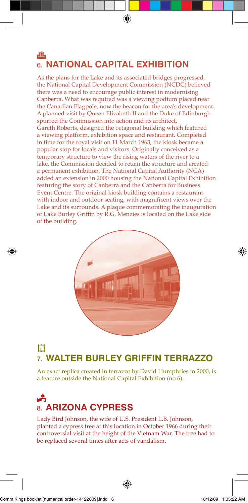### **JIII.** 6. **NATIONAL CAPITAL EXHIBITION**

As the plans for the Lake and its associated bridges progressed, the National Capital Development Commission (NCDC) believed there was a need to encourage public interest in modernising Canberra. What was required was a viewing podium placed near the Canadian Flagpole, now the beacon for the area's development. A planned visit by Queen Elizabeth II and the Duke of Edinburgh spurred the Commission into action and its architect, Gareth Roberts, designed the octagonal building which featured a viewing platform, exhibition space and restaurant. Completed in time for the royal visit on 11 March 1963, the kiosk became a popular stop for locals and visitors. Originally conceived as a temporary structure to view the rising waters of the river to a lake, the Commission decided to retain the structure and created a permanent exhibition. The National Capital Authority (NCA) added an extension in 2000 housing the National Capital Exhibition featuring the story of Canberra and the Canberra for Business Event Centre. The original kiosk building contains a restaurant with indoor and outdoor seating, with magnificent views over the Lake and its surrounds. A plaque commemorating the inauguration of Lake Burley Griffin by R.G. Menzies is located on the Lake side of the building.



## ¢ 7. **WALTER BURLEY GRIFFIN TERRAZZO**

An exact replica created in terrazzo by David Humphries in 2000, is a feature outside the National Capital Exhibition (no 6).

## et de la partie de la partie de la pose de la pose de la pose de la pose de la pose de la pose de la pose de l<br>De la pose de la pose de la pose de la pose de la pose de la pose de la pose de la pose de la pose de la pose<br>D 8. **ARIZONA CYPRESS**

Lady Bird Johnson, the wife of U.S. President L.B. Johnson, planted a cypress tree at this location in October 1966 during their controversial visit at the height of the Vietnam War. The tree had to be replaced several times a�er acts of vandalism.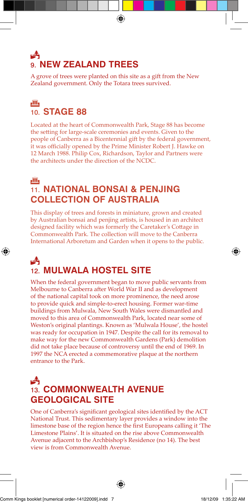## F, 9. **NEW ZEALAND TREES**

A grove of trees were planted on this site as a gift from the New Zealand government. Only the Totara trees survived.

### **والآل**ع 10. **STAGE 88**

Located at the heart of Commonwealth Park, Stage 88 has become the setting for large-scale ceremonies and events. Given to the people of Canberra as a Bicentennial gift by the federal government, it was officially opened by the Prime Minister Robert J. Hawke on 12 March 1988. Philip Cox, Richardson, Taylor and Partners were the architects under the direction of the NCDC.

### jî, 11. **NATIONAL BONSAI & PENJING COLLECTION OF AUSTRALIA**

This display of trees and forests in miniature, grown and created by Australian bonsai and penjing artists, is housed in an architect designed facility which was formerly the Caretaker's Cottage in Commonwealth Park. The collection will move to the Canberra International Arboretum and Garden when it opens to the public.

## ĥ 12. **MULWALA HOSTEL SITE**

When the federal government began to move public servants from Melbourne to Canberra after World War II and as development of the national capital took on more prominence, the need arose to provide quick and simple-to-erect housing. Former war-time buildings from Mulwala, New South Wales were dismantled and moved to this area of Commonwealth Park, located near some of Weston's original plantings. Known as 'Mulwala House', the hostel was ready for occupation in 1947. Despite the call for its removal to make way for the new Commonwealth Gardens (Park) demolition did not take place because of controversy until the end of 1969. In 1997 the NCA erected a commemorative plaque at the northern entrance to the Park.

### å 13. **COMMONWEALTH AVENUE GEOLOGICAL SITE**

One of Canberra's significant geological sites identified by the ACT National Trust. This sedimentary layer provides a window into the limestone base of the region hence the first Europeans calling it 'The Limestone Plains'. It is situated on the rise above Commonwealth Avenue adjacent to the Archbishop's Residence (no 14). The best view is from Commonwealth Avenue.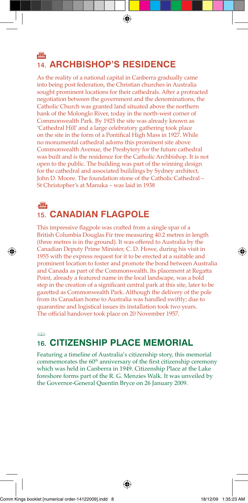### 画 14. **ARCHBISHOP'S RESIDENCE**

As the reality of a national capital in Canberra gradually came into being post federation, the Christian churches in Australia sought prominent locations for their cathedrals. After a protracted negotiation between the government and the denominations, the Catholic Church was granted land situated above the northern bank of the Molonglo River, today in the north-west corner of Commonwealth Park. By 1925 the site was already known as 'Cathedral Hill' and a large celebratory gathering took place on the site in the form of a Pontifical High Mass in 1927. While no monumental cathedral adorns this prominent site above Commonwealth Avenue, the Presbytery for the future cathedral was built and is the residence for the Catholic Archbishop. It is not open to the public. The building was part of the winning design for the cathedral and associated buildings by Sydney architect, John D. Moore. The foundation stone of the Catholic Cathedral – St Christopher's at Manuka – was laid in 1938

### .G 15. **CANADIAN FLAGPOLE**

This impressive flagpole was crafted from a single spar of a British Columbia Douglas Fir tree measuring 40.2 metres in length (three metres is in the ground). It was offered to Australia by the Canadian Deputy Prime Minister, C. D. Howe, during his visit in 1955 with the express request for it to be erected at a suitable and prominent location to foster and promote the bond between Australia and Canada as part of the Commonwealth. Its placement at Regatta Point, already a featured name in the local landscape, was a bold step in the creation of a significant central park at this site, later to be gazetted as Commonwealth Park. Although the delivery of the pole from its Canadian home to Australia was handled swi�ly; due to quarantine and logistical issues its installation took two years. The official handover took place on 20 November 1957.

### ß 16. **CITIZENSHIP PLACE MEMORIAL**

Featuring a timeline of Australia's citizenship story, this memorial commemorates the 60<sup>th</sup> anniversary of the first citizenship ceremony which was held in Canberra in 1949. Citizenship Place at the Lake foreshore forms part of the R. G. Menzies Walk. It was unveiled by the Governor-General Quentin Bryce on 26 January 2009.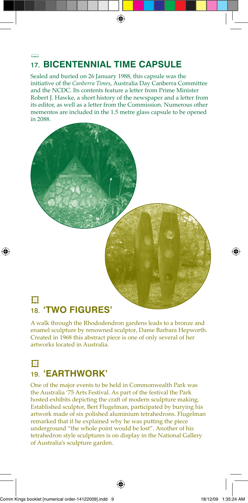### ß 17. **BICENTENNIAL TIME CAPSULE**

Sealed and buried on 26 January 1988, this capsule was the initiative of the *Canberra Times*, Australia Day Canberra Committee and the NCDC. Its contents feature a letter from Prime Minister Robert J. Hawke, a short history of the newspaper and a letter from its editor, as well as a letter from the Commission. Numerous other mementos are included in the 1.5 metre glass capsule to be opened in 2088.



## 18. **'TWO FIGURES'**

A walk through the Rhododendron gardens leads to a bronze and enamel sculpture by renowned sculptor, Dame Barbara Hepworth. Created in 1968 this abstract piece is one of only several of her artworks located in Australia.

## ¢ 19. **'EARTHWORK'**

One of the major events to be held in Commonwealth Park was the Australia '75 Arts Festival. As part of the festival the Park hosted exhibits depicting the craft of modern sculpture making. Established sculptor, Bert Flugelman, participated by burying his artwork made of six polished aluminium tetrahedrons. Flugelman remarked that if he explained why he was putting the piece underground "the whole point would be lost". Another of his tetrahedron style sculptures is on display in the National Gallery of Australia's sculpture garden.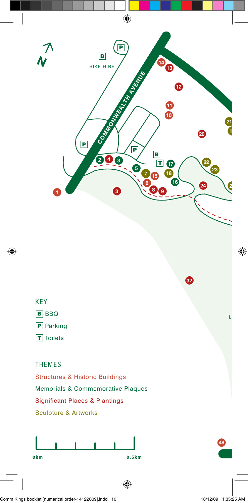

### KEY

**B** BBQ

**P** Parking

**T** Toilets

### THEMES

Structures & Historic Buildings Memorials & Commemorative Plaques Significant Places & Plantings Sculpture & Artworks





**LAKE BURLEY**

**48**

**32**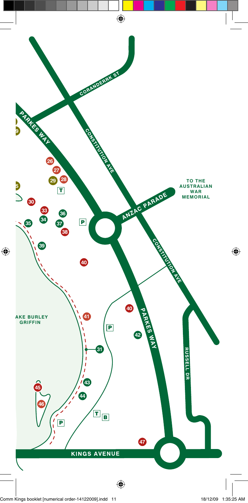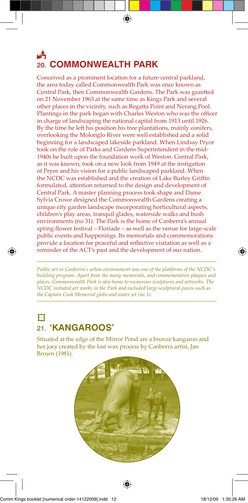## F, 20. **COMMONWEALTH PARK**

Conceived as a prominent location for a future central parkland, the area today called Commonwealth Park was once known as Central Park, then Commonwealth Gardens. The Park was gazetted on 21 November 1963 at the same time as Kings Park and several other places in the vicinity, such as Regatta Point and Nerang Pool. Plantings in the park began with Charles Weston who was the officer in charge of landscaping the national capital from 1913 until 1926. By the time he left his position his tree plantations, mainly conifers, overlooking the Molonglo River were well established and a solid beginning for a landscaped lakeside parkland. When Lindsay Pryor took on the role of Parks and Gardens Superintendent in the mid-1940s he built upon the foundation work of Weston. Central Park, as it was known, took on a new look from 1949 at the instigation of Pryor and his vision for a public landscaped parkland. When the NCDC was established and the creation of Lake Burley Griffin formulated, attention returned to the design and development of Central Park. A master planning process took shape and Dame Sylvia Crowe designed the Commonwealth Gardens creating a unique city garden landscape incorporating horticultural aspects, children's play areas, tranquil glades, waterside walks and bush environments (no 31). The Park is the home of Canberra's annual spring flower festival – Floriade – as well as the venue for large-scale public events and happenings. Its memorials and commemorations provide a location for peaceful and reflective visitation as well as a reminder of the ACT's past and the development of our nation.

*Public art in Canberra's urban environment was one of the platforms of the NCDC's building program. Apart from the many memorials, and commemorative plaques and places, Commonwealth Park is also home to numerous sculptures and artworks. The NCDC initiated art works in the Park and included large sculptural pieces such as the Captain Cook Memorial globe and water jet (no 3).*  $\overline{\phantom{a}}$  ,  $\overline{\phantom{a}}$  ,  $\overline{\phantom{a}}$  ,  $\overline{\phantom{a}}$  ,  $\overline{\phantom{a}}$  ,  $\overline{\phantom{a}}$  ,  $\overline{\phantom{a}}$  ,  $\overline{\phantom{a}}$  ,  $\overline{\phantom{a}}$  ,  $\overline{\phantom{a}}$  ,  $\overline{\phantom{a}}$  ,  $\overline{\phantom{a}}$  ,  $\overline{\phantom{a}}$  ,  $\overline{\phantom{a}}$  ,  $\overline{\phantom{a}}$  ,  $\overline{\phantom{a}}$ 

\_\_\_\_\_\_\_\_\_\_\_\_\_\_\_\_\_\_\_\_\_\_\_\_\_\_\_\_\_\_\_\_\_\_\_\_\_\_\_\_\_\_\_\_\_\_\_\_\_\_\_\_\_\_\_\_\_\_\_\_

### $\mathbf{H}$ 21. **'KANGAROOS'**

Situated at the edge of the Mirror Pond are a bronze kangaroo and her joey created by the lost wax process by Canberra artist, Jan Brown (1981).

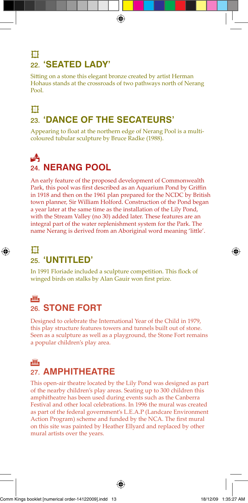## ¢ 22. **'SEATED LADY'**

Sitting on a stone this elegant bronze created by artist Herman Hohaus stands at the crossroads of two pathways north of Nerang Pool.

## $\mathbf H$ 23. **'DANCE OF THE SECATEURS'**

Appearing to float at the northern edge of Nerang Pool is a multicoloured tubular sculpture by Bruce Radke (1988).

## Å 24. **NERANG POOL**

An early feature of the proposed development of Commonwealth Park, this pool was first described as an Aquarium Pond by Griffin in 1918 and then on the 1961 plan prepared for the NCDC by British town planner, Sir William Holford. Construction of the Pond began a year later at the same time as the installation of the Lily Pond, with the Stream Valley (no 30) added later. These features are an integral part of the water replenishment system for the Park. The name Nerang is derived from an Aboriginal word meaning 'little'.

### ¢

### 25. **'UNTITLED'**

In 1991 Floriade included a sculpture competition. This flock of winged birds on stalks by Alan Gauir won first prize.

### **FIII** 26. **STONE FORT**

Designed to celebrate the International Year of the Child in 1979, this play structure features towers and tunnels built out of stone. Seen as a sculpture as well as a playground, the Stone Fort remains a popular children's play area.

### G

## 27. **AMPHITHEATRE**

This open-air theatre located by the Lily Pond was designed as part of the nearby children's play areas. Seating up to 300 children this amphitheatre has been used during events such as the Canberra Festival and other local celebrations. In 1996 the mural was created as part of the federal government's L.E.A.P (Landcare Environment Action Program) scheme and funded by the NCA. The first mural on this site was painted by Heather Ellyard and replaced by other mural artists over the years.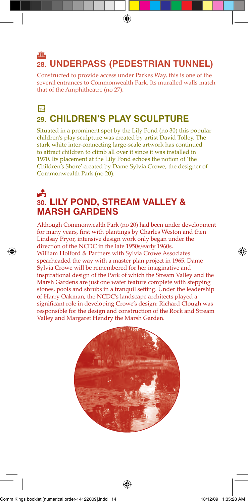### **JIII.** 28. **UNDERPASS (PEDESTRIAN TUNNEL)**

Constructed to provide access under Parkes Way, this is one of the several entrances to Commonwealth Park. Its muralled walls match that of the Amphitheatre (no 27).

## $H$ 29. **CHILDREN'S PLAY SCULPTURE**

Situated in a prominent spot by the Lily Pond (no 30) this popular children's play sculpture was created by artist David Tolley. The stark white inter-connecting large-scale artwork has continued to attract children to climb all over it since it was installed in 1970. Its placement at the Lily Pond echoes the notion of 'the Children's Shore' created by Dame Sylvia Crowe, the designer of Commonwealth Park (no 20).

### Å 30. **LILY POND, STREAM VALLEY & MARSH GARDENS**

Although Commonwealth Park (no 20) had been under development for many years, first with plantings by Charles Weston and then Lindsay Pryor, intensive design work only began under the direction of the NCDC in the late 1950s/early 1960s. William Holford & Partners with Sylvia Crowe Associates spearheaded the way with a master plan project in 1965. Dame Sylvia Crowe will be remembered for her imaginative and inspirational design of the Park of which the Stream Valley and the Marsh Gardens are just one water feature complete with stepping stones, pools and shrubs in a tranquil setting. Under the leadership of Harry Oakman, the NCDC's landscape architects played a significant role in developing Crowe's design: Richard Clough was responsible for the design and construction of the Rock and Stream Valley and Margaret Hendry the Marsh Garden.

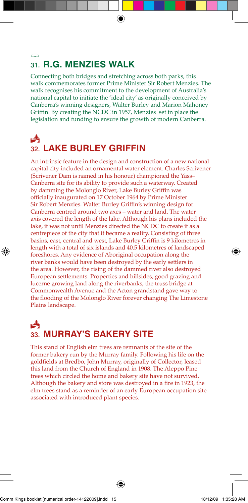#### ß 31. **R.G. MENZIES WALK**

Connecting both bridges and stretching across both parks, this walk commemorates former Prime Minister Sir Robert Menzies. The walk recognises his commitment to the development of Australia's national capital to initiate the 'ideal city' as originally conceived by Canberra's winning designers, Walter Burley and Marion Mahoney Griffin. By creating the NCDC in 1957, Menzies set in place the legislation and funding to ensure the growth of modern Canberra.

## Å 32. **LAKE BURLEY GRIFFIN**

An intrinsic feature in the design and construction of a new national capital city included an ornamental water element. Charles Scrivener (Scrivener Dam is named in his honour) championed the Yass– Canberra site for its ability to provide such a waterway. Created by damming the Molonglo River, Lake Burley Griffin was officially inaugurated on 17 October 1964 by Prime Minister Sir Robert Menzies. Walter Burley Griffin's winning design for Canberra centred around two axes – water and land. The water axis covered the length of the lake. Although his plans included the lake, it was not until Menzies directed the NCDC to create it as a centrepiece of the city that it became a reality. Consisting of three basins, east, central and west, Lake Burley Griffin is 9 kilometres in length with a total of six islands and 40.5 kilometres of landscaped foreshores. Any evidence of Aboriginal occupation along the river banks would have been destroyed by the early settlers in the area. However, the rising of the dammed river also destroyed European settlements. Properties and hillsides, good grazing and lucerne growing land along the riverbanks, the truss bridge at Commonwealth Avenue and the Acton grandstand gave way to the flooding of the Molonglo River forever changing The Limestone Plains landscape.

## A 33. **MURRAY'S BAKERY SITE**

This stand of English elm trees are remnants of the site of the former bakery run by the Murray family. Following his life on the goldfields at Bredbo, John Murray, originally of Collector, leased this land from the Church of England in 1908. The Aleppo Pine trees which circled the home and bakery site have not survived. Although the bakery and store was destroyed in a fire in 1923, the elm trees stand as a reminder of an early European occupation site associated with introduced plant species.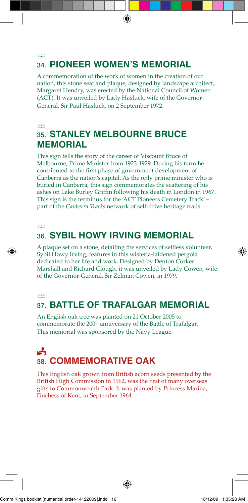#### $\oplus$ 34. **PIONEER WOMEN'S MEMORIAL**

A commemoration of the work of women in the creation of our nation, this stone seat and plaque, designed by landscape architect, Margaret Hendry, was erected by the National Council of Women (ACT). It was unveiled by Lady Hasluck, wife of the Governor-General, Sir Paul Hasluck, on 2 September 1972.

### ß 35. **STANLEY MELBOURNE BRUCE MEMORIAL**

This sign tells the story of the career of Viscount Bruce of Melbourne, Prime Minister from 1923-1929. During his term he contributed to the first phase of government development of Canberra as the nation's capital. As the only prime minister who is buried in Canberra, this sign commemorates the scattering of his ashes on Lake Burley Griffin following his death in London in 1967. This sign is the terminus for the 'ACT Pioneers Cemetery Track' – part of the *Canberra Tracks* network of self-drive heritage trails.

### $\oplus$ 36. **SYBIL HOWY IRVING MEMORIAL**

A plaque set on a stone, detailing the services of selfless volunteer, Sybil Howy Irving, features in this wisteria-laidened pergola dedicated to her life and work. Designed by Denton Corker Marshall and Richard Clough, it was unveiled by Lady Cowen, wife of the Governor-General, Sir Zelman Cowen, in 1979.

 $\Rightarrow$ 

## 37. **BATTLE OF TRAFALGAR MEMORIAL**

An English oak tree was planted on 21 October 2005 to commemorate the 200<sup>th</sup> anniversary of the Battle of Trafalgar. This memorial was sponsored by the Navy League.

## Å 38. **COMMEMORATIVE OAK**

This English oak grown from British acorn seeds presented by the British High Commission in 1962, was the first of many overseas gifts to Commonwealth Park. It was planted by Princess Marina, Duchess of Kent, in September 1964.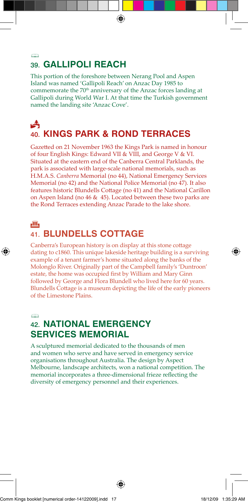#### ß 39. **GALLIPOLI REACH**

This portion of the foreshore between Nerang Pool and Aspen Island was named 'Gallipoli Reach' on Anzac Day 1985 to commemorate the 70<sup>th</sup> anniversary of the Anzac forces landing at Gallipoli during World War I. At that time the Turkish government named the landing site 'Anzac Cove'.

## Å 40. **KINGS PARK & ROND TERRACES**

Gazetted on 21 November 1963 the Kings Park is named in honour of four English Kings: Edward VII & VIII, and George V & VI. Situated at the eastern end of the Canberra Central Parklands, the park is associated with large-scale national memorials, such as H.M.A.S. *Canberra* Memorial (no 44), National Emergency Services Memorial (no 42) and the National Police Memorial (no 47). It also features historic Blundells Cottage (no 41) and the National Carillon on Aspen Island (no 46 & 45). Located between these two parks are the Rond Terraces extending Anzac Parade to the lake shore.

#### tii,

## 41. **BLUNDELLS COTTAGE**

Canberra's European history is on display at this stone cottage dating to c1860. This unique lakeside heritage building is a surviving example of a tenant farmer's home situated along the banks of the Molonglo River. Originally part of the Campbell family's 'Duntroon' estate, the home was occupied first by William and Mary Ginn followed by George and Flora Blundell who lived here for 60 years. Blundells Cottage is a museum depicting the life of the early pioneers of the Limestone Plains.

#### $\curvearrowright$

### 42. **NATIONAL EMERGENCY SERVICES MEMORIAL**

A sculptured memorial dedicated to the thousands of men and women who serve and have served in emergency service organisations throughout Australia. The design by Aspect Melbourne, landscape architects, won a national competition. The memorial incorporates a three-dimensional frieze reflecting the diversity of emergency personnel and their experiences.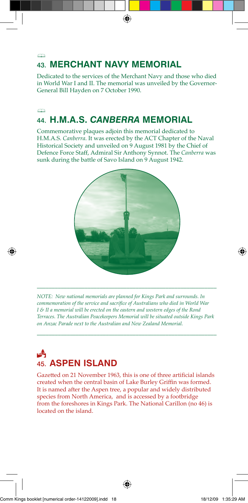## 43. **MERCHANT NAVY MEMORIAL**

ß

 $\curvearrowright$ 

Dedicated to the services of the Merchant Navy and those who died in World War I and II. The memorial was unveiled by the Governor-General Bill Hayden on 7 October 1990.

## 44. **H.M.A.S.** *CANBERRA* **MEMORIAL**

Commemorative plaques adjoin this memorial dedicated to H.M.A.S. *Canberra*. It was erected by the ACT Chapter of the Naval Historical Society and unveiled on 9 August 1981 by the Chief of Defence Force Staff, Admiral Sir Anthony Synnot. The *Canberra* was sunk during the battle of Savo Island on 9 August 1942.



*NOTE: New national memorials are planned for Kings Park and surrounds. In commemoration of the service and sacrifice of Australians who died in World War I & II a memorial will be erected on the eastern and western edges of the Rond Terraces. The Australian Peacekeepers Memorial will be situated outside Kings Park on Anzac Parade next to the Australian and New Zealand Memorial.* 

\_\_\_\_\_\_\_\_\_\_\_\_\_\_\_\_\_\_\_\_\_\_\_\_\_\_\_\_\_\_\_\_\_\_\_\_\_\_\_\_\_\_\_\_\_\_\_\_\_\_\_\_\_\_\_\_\_\_\_\_

\_\_\_\_\_\_\_\_\_\_\_\_\_\_\_\_\_\_\_\_\_\_\_\_\_\_\_\_\_\_\_\_\_\_\_\_\_\_\_\_\_\_\_\_\_\_\_\_\_\_\_\_\_\_\_\_\_\_\_\_

## $\mathbf{A}$ 45. **ASPEN ISLAND**

Gazetted on 21 November 1963, this is one of three artificial islands created when the central basin of Lake Burley Griffin was formed. It is named after the Aspen tree, a popular and widely distributed species from North America, and is accessed by a footbridge from the foreshores in Kings Park. The National Carillon (no 46) is located on the island.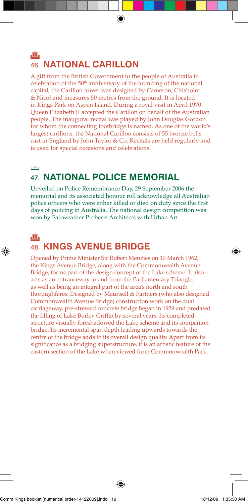### **JIII.** 46. **NATIONAL CARILLON**

A gift from the British Government to the people of Australia in celebration of the  $50<sup>th</sup>$  anniversary of the founding of the national capital, the Carillon tower was designed by Cameron, Chisholm & Nicol and measures 50 metres from the ground. It is located in Kings Park on Aspen Island. During a royal visit in April 1970 Queen Elizabeth II accepted the Carillon on behalf of the Australian people. The inaugural recital was played by John Douglas Gordon for whom the connecting footbridge is named. As one of the world's largest carillons, the National Carillon consists of 55 bronze bells cast in England by John Taylor & Co. Recitals are held regularly and is used for special occasions and celebrations.

#### $\rightarrow$

## 47. **NATIONAL POLICE MEMORIAL**

Unveiled on Police Remembrance Day, 29 September 2006 the memorial and its associated honour roll acknowledge all Australian police officers who were either killed or died on duty since the first days of policing in Australia. The national design competition was won by Fairweather Proberts Architects with Urban Art.

#### t li

## 48. **KINGS AVENUE BRIDGE**

Opened by Prime Minister Sir Robert Menzies on 10 March 1962, the Kings Avenue Bridge, along with the Commonwealth Avenue Bridge, forms part of the design concept of the Lake scheme. It also acts as an entranceway to and from the Parliamentary Triangle, as well as being an integral part of the area's north and south thoroughfares. Designed by Maunsell & Partners (who also designed Commonwealth Avenue Bridge) construction work on the dual carriageway, pre-stressed concrete bridge began in 1959 and predated the filling of Lake Burley Griffin by several years. Its completed structure visually foreshadowed the Lake scheme and its companion bridge. Its incremental span depth leading upwards towards the centre of the bridge adds to its overall design quality. Apart from its significance as a bridging superstructure, it is an artistic feature of the eastern section of the Lake when viewed from Commonwealth Park.